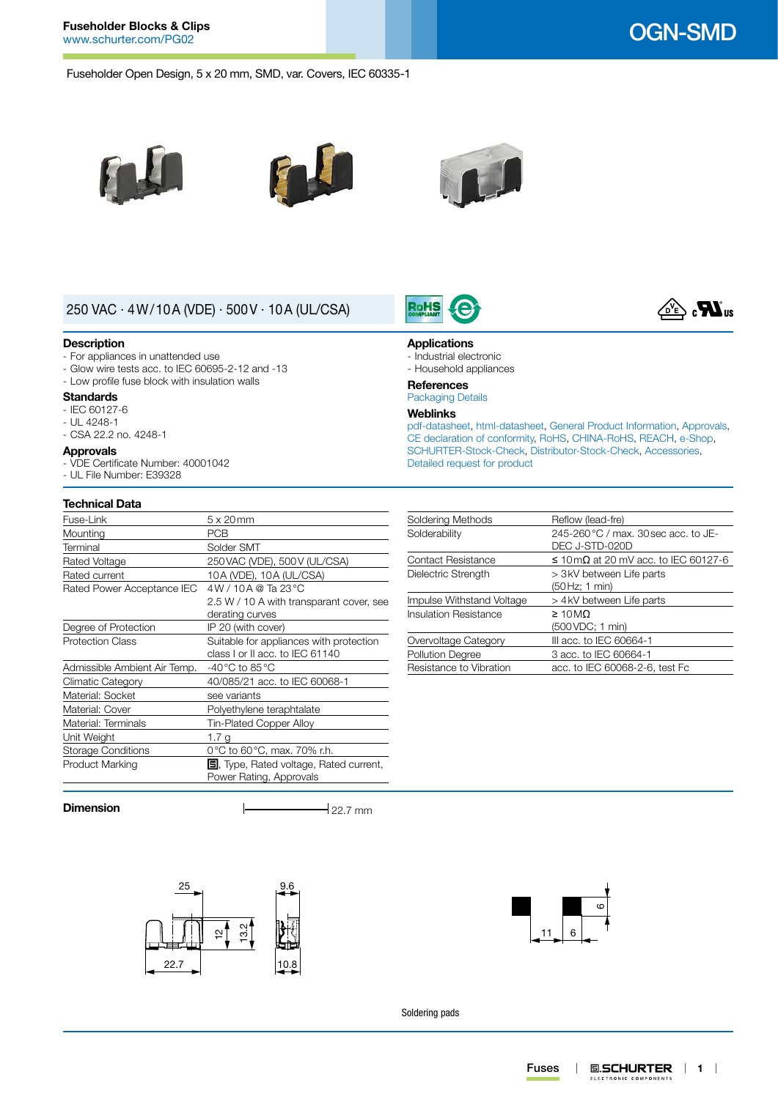# **Fuseholder Blocks & Clips**

# OGN-SMD

Fuseholder Open Design, 5 x 20 mm, SMD, var. Covers, IEC 60335-1







**Applications** - Industrial electronic - Household appliances

RoHS

**References** [Packaging Details](http://www.schurter.ch/pdf/english/GS_packaging_details.pdf) **Weblinks**

[Detailed request for product](http://www.schurter.com/en/Contacts/Contact-Form?type=OGN-SMD)

# 250 VAC · 4W/10A (VDE) · 500V · 10A (UL/CSA)

### **Description**

- For appliances in unattended use
- Glow wire tests acc. to IEC 60695-2-12 and -13
- Low profile fuse block with insulation walls

## **Standards**

- IEC 60127-6
- UL 4248-1 - CSA 22.2 no. 4248-1
- 

## **Approvals**

- VDE Certificate Number: 40001042 - UL File Number: E39328

## **Technical Data**

| Fuse-Link                    | $5 \times 20$ mm                               |
|------------------------------|------------------------------------------------|
| Mounting                     | PCB                                            |
| Terminal                     | Solder SMT                                     |
| Rated Voltage                | 250 VAC (VDE), 500 V (UL/CSA)                  |
| Rated current                | 10A (VDE), 10A (UL/CSA)                        |
| Rated Power Acceptance IEC   | $4W/10A$ @ Ta 23 °C                            |
|                              | 2.5 W / 10 A with transparant cover, see       |
|                              | derating curves                                |
| Degree of Protection         | IP 20 (with cover)                             |
| <b>Protection Class</b>      | Suitable for appliances with protection        |
|                              | class I or II acc. to IEC 61140                |
| Admissible Ambient Air Temp. | -40 °C to 85 °C                                |
| Climatic Category            | 40/085/21 acc. to IEC 60068-1                  |
| Material: Socket             | see variants                                   |
| Material: Cover              | Polyethylene teraphtalate                      |
| Material: Terminals          | Tin-Plated Copper Alloy                        |
| Unit Weight                  | 1.7 g                                          |
| <b>Storage Conditions</b>    | 0°C to 60°C, max. 70% r.h.                     |
| Product Marking              | <b>国</b> , Type, Rated voltage, Rated current, |
|                              | Power Rating, Approvals                        |

### Soldering Methods Reflow (lead-fre) Solderability 245-260 °C / max. 30 sec acc. to JE-DEC J-STD-020D Contact Resistance  $\leq 10 \,\text{m}\Omega$  at 20 mV acc. to IEC 60127-6 Dielectric Strength  $> 3$ kV between Life parts (50Hz; 1 min) Impulse Withstand Voltage > 4kV between Life parts Insulation Resistance ≥ 10MΩ (500VDC; 1 min) Overvoltage Category III acc. to IEC 60664-1<br>
Pollution Degree 3 acc. to IEC 60664-1 3 acc. to IEC 60664-1 Resistance to Vibration acc. to IEC 60068-2-6, test Fc

[pdf-datasheet](http://www.schurter.ch/pdf/english/typ_OGN-SMD.pdf), [html-datasheet](http://www.schurter.ch/en/datasheet/OGN-SMD), [General Product Information,](http://www.schurter.ch/products/fuses_general_info.asp) [Approvals](http://www.schurter.ch/en/Documents-References/Approvals/(id)/OGN-SMD), [CE declaration of conformity,](http://www.schurter.com/en/Documents-References/Approvals/(id)/OGN-SMD+AND+FIELD+CertificationInstitute=SAG) [RoHS](http://www.schurter.ch/company/rohs.asp), [CHINA-RoHS](http://www.schurter.ch/company/china_rohs.asp), [REACH,](http://www.schurter.ch/company/reach.asp) [e-Shop,](http://www.schurter.ch/en/datasheet/OGN-SMD#Anker_Variants) [SCHURTER-Stock-Check,](http://www.schurter.ch/en/Stock-Check/Stock-Check-SCHURTER?MAKTX=OGN-SMD&COM_QTY=1&AUTOSEARCH=true) [Distributor-Stock-Check](http://www.schurter.com/en/Stock-Check/Stock-Check-Distributor?partnumber1=OGN-SMD), [Accessories](http://www.schurter.ch/wwwsc/con_z02.asp),

**Dimension**  $\qquad \qquad \qquad$  22.7 mm





Soldering pads

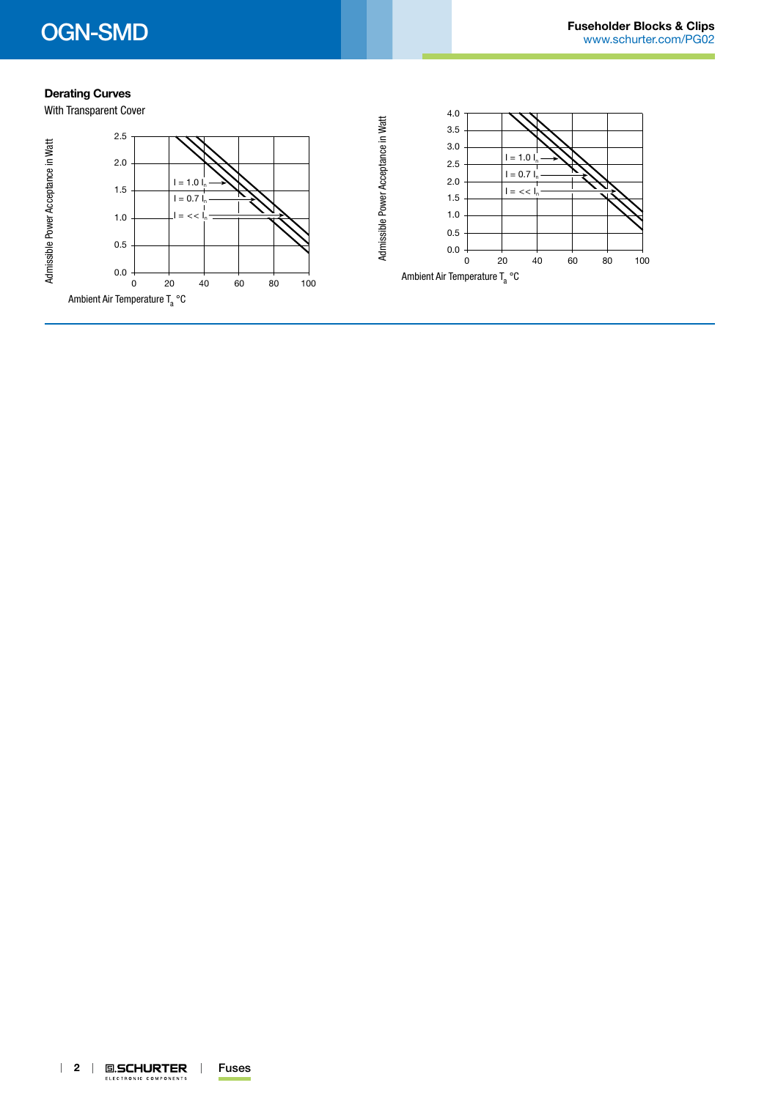# **Derating Curves**



| 2 | **回.SCHURTER** | Fuses ELECTRONIC COMPONENTS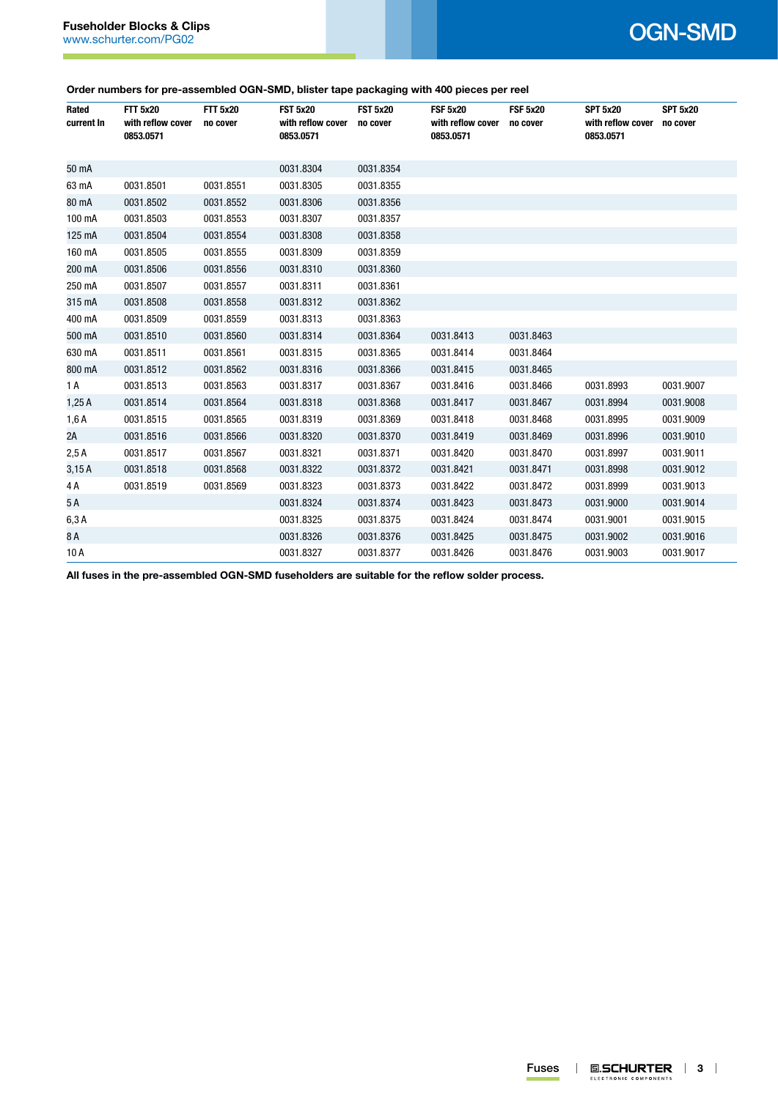## **Order numbers for pre-assembled OGN-SMD, blister tape packaging with 400 pieces per reel**

| Rated<br>current In | <b>FTT 5x20</b><br>with reflow cover<br>0853.0571 | <b>FTT 5x20</b><br>no cover | <b>FST 5x20</b><br>with reflow cover<br>0853.0571 | <b>FST 5x20</b><br>no cover | <b>FSF 5x20</b><br>with reflow cover<br>0853.0571 | <b>FSF 5x20</b><br>no cover | <b>SPT 5x20</b><br>with reflow cover<br>0853.0571 | <b>SPT 5x20</b><br>no cover |
|---------------------|---------------------------------------------------|-----------------------------|---------------------------------------------------|-----------------------------|---------------------------------------------------|-----------------------------|---------------------------------------------------|-----------------------------|
| 50 mA               |                                                   |                             | 0031.8304                                         | 0031.8354                   |                                                   |                             |                                                   |                             |
| 63 mA               | 0031.8501                                         | 0031.8551                   | 0031.8305                                         | 0031.8355                   |                                                   |                             |                                                   |                             |
| 80 mA               | 0031.8502                                         | 0031.8552                   | 0031.8306                                         | 0031.8356                   |                                                   |                             |                                                   |                             |
| 100 mA              | 0031.8503                                         | 0031.8553                   | 0031.8307                                         | 0031.8357                   |                                                   |                             |                                                   |                             |
| 125 mA              | 0031.8504                                         | 0031.8554                   | 0031.8308                                         | 0031.8358                   |                                                   |                             |                                                   |                             |
| 160 mA              | 0031.8505                                         | 0031.8555                   | 0031.8309                                         | 0031.8359                   |                                                   |                             |                                                   |                             |
| 200 mA              | 0031.8506                                         | 0031.8556                   | 0031.8310                                         | 0031.8360                   |                                                   |                             |                                                   |                             |
| 250 mA              | 0031.8507                                         | 0031.8557                   | 0031.8311                                         | 0031.8361                   |                                                   |                             |                                                   |                             |
| 315 mA              | 0031.8508                                         | 0031.8558                   | 0031.8312                                         | 0031.8362                   |                                                   |                             |                                                   |                             |
| 400 mA              | 0031.8509                                         | 0031.8559                   | 0031.8313                                         | 0031.8363                   |                                                   |                             |                                                   |                             |
| 500 mA              | 0031.8510                                         | 0031.8560                   | 0031.8314                                         | 0031.8364                   | 0031.8413                                         | 0031.8463                   |                                                   |                             |
| 630 mA              | 0031.8511                                         | 0031.8561                   | 0031.8315                                         | 0031.8365                   | 0031.8414                                         | 0031.8464                   |                                                   |                             |
| 800 mA              | 0031.8512                                         | 0031.8562                   | 0031.8316                                         | 0031.8366                   | 0031.8415                                         | 0031.8465                   |                                                   |                             |
| 1 A                 | 0031.8513                                         | 0031.8563                   | 0031.8317                                         | 0031.8367                   | 0031.8416                                         | 0031.8466                   | 0031.8993                                         | 0031.9007                   |
| 1,25A               | 0031.8514                                         | 0031.8564                   | 0031.8318                                         | 0031.8368                   | 0031.8417                                         | 0031.8467                   | 0031.8994                                         | 0031.9008                   |
| 1,6A                | 0031.8515                                         | 0031.8565                   | 0031.8319                                         | 0031.8369                   | 0031.8418                                         | 0031.8468                   | 0031.8995                                         | 0031.9009                   |
| 2A                  | 0031.8516                                         | 0031.8566                   | 0031.8320                                         | 0031.8370                   | 0031.8419                                         | 0031.8469                   | 0031.8996                                         | 0031.9010                   |
| 2,5A                | 0031.8517                                         | 0031.8567                   | 0031.8321                                         | 0031.8371                   | 0031.8420                                         | 0031.8470                   | 0031.8997                                         | 0031.9011                   |
| 3,15A               | 0031.8518                                         | 0031.8568                   | 0031.8322                                         | 0031.8372                   | 0031.8421                                         | 0031.8471                   | 0031.8998                                         | 0031.9012                   |
| 4 A                 | 0031.8519                                         | 0031.8569                   | 0031.8323                                         | 0031.8373                   | 0031.8422                                         | 0031.8472                   | 0031.8999                                         | 0031.9013                   |
| 5 A                 |                                                   |                             | 0031.8324                                         | 0031.8374                   | 0031.8423                                         | 0031.8473                   | 0031.9000                                         | 0031.9014                   |
| 6,3A                |                                                   |                             | 0031.8325                                         | 0031.8375                   | 0031.8424                                         | 0031.8474                   | 0031.9001                                         | 0031.9015                   |
| 8A                  |                                                   |                             | 0031.8326                                         | 0031.8376                   | 0031.8425                                         | 0031.8475                   | 0031.9002                                         | 0031.9016                   |
| 10 A                |                                                   |                             | 0031.8327                                         | 0031.8377                   | 0031.8426                                         | 0031.8476                   | 0031.9003                                         | 0031.9017                   |

**All fuses in the pre-assembled OGN-SMD fuseholders are suitable for the reflow solder process.**